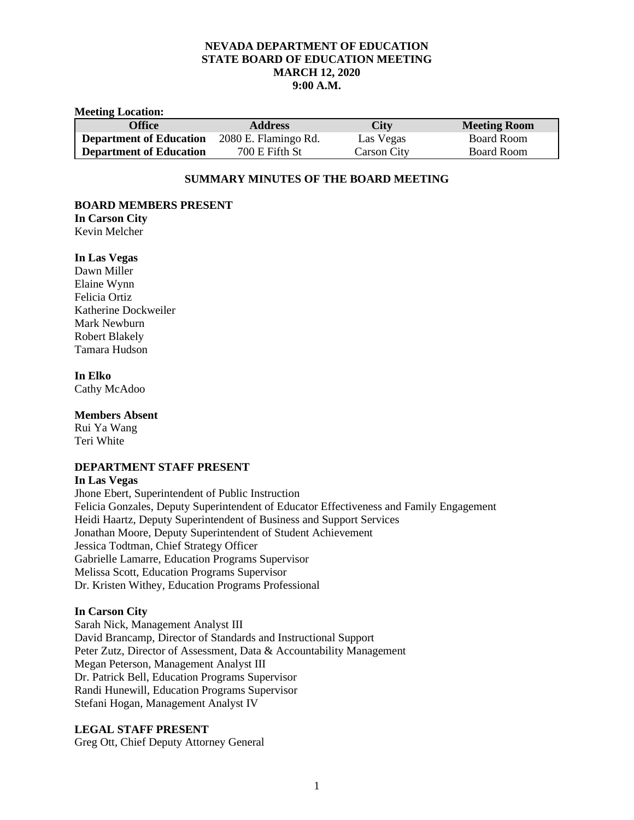# **NEVADA DEPARTMENT OF EDUCATION STATE BOARD OF EDUCATION MEETING MARCH 12, 2020 9:00 A.M.**

#### **Meeting Location:**

| <b>Office</b>                  | <b>Address</b>       | <b>City</b> | <b>Meeting Room</b> |
|--------------------------------|----------------------|-------------|---------------------|
| <b>Department of Education</b> | 2080 E. Flamingo Rd. | Las Vegas   | Board Room          |
| <b>Department of Education</b> | 700 E Fifth St       | Carson City | Board Room          |

# **SUMMARY MINUTES OF THE BOARD MEETING**

## **BOARD MEMBERS PRESENT**

**In Carson City** Kevin Melcher

## **In Las Vegas**

Dawn Miller Elaine Wynn Felicia Ortiz Katherine Dockweiler Mark Newburn Robert Blakely Tamara Hudson

# **In Elko**

Cathy McAdoo

## **Members Absent**

Rui Ya Wang Teri White

# **DEPARTMENT STAFF PRESENT**

### **In Las Vegas**

Jhone Ebert, Superintendent of Public Instruction Felicia Gonzales, Deputy Superintendent of Educator Effectiveness and Family Engagement Heidi Haartz, Deputy Superintendent of Business and Support Services Jonathan Moore, Deputy Superintendent of Student Achievement Jessica Todtman, Chief Strategy Officer Gabrielle Lamarre, Education Programs Supervisor Melissa Scott, Education Programs Supervisor Dr. Kristen Withey, Education Programs Professional

# **In Carson City**

Sarah Nick, Management Analyst III David Brancamp, Director of Standards and Instructional Support Peter Zutz, Director of Assessment, Data & Accountability Management Megan Peterson, Management Analyst III Dr. Patrick Bell, Education Programs Supervisor Randi Hunewill, Education Programs Supervisor Stefani Hogan, Management Analyst IV

# **LEGAL STAFF PRESENT**

Greg Ott, Chief Deputy Attorney General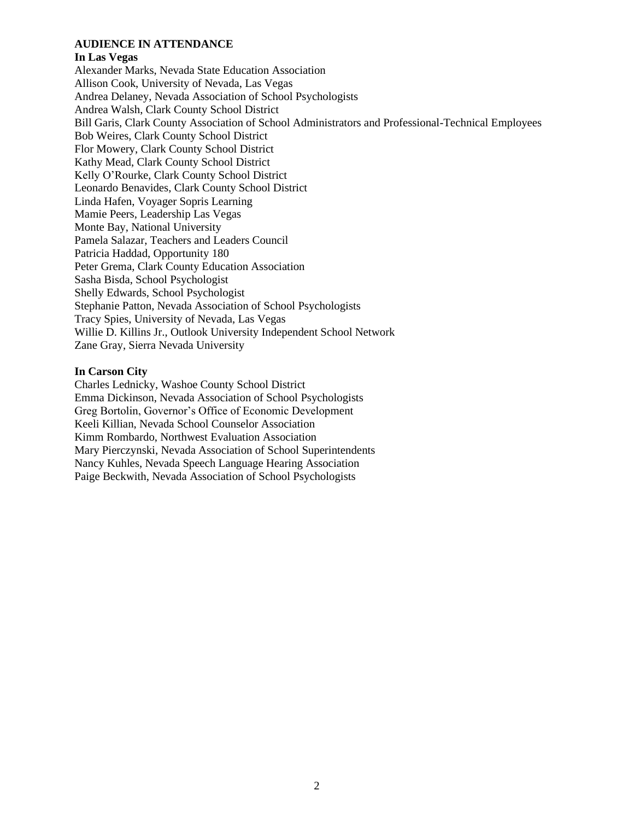# **AUDIENCE IN ATTENDANCE**

#### **In Las Vegas**

Alexander Marks, Nevada State Education Association Allison Cook, University of Nevada, Las Vegas Andrea Delaney, Nevada Association of School Psychologists Andrea Walsh, Clark County School District Bill Garis, Clark County Association of School Administrators and Professional-Technical Employees Bob Weires, Clark County School District Flor Mowery, Clark County School District Kathy Mead, Clark County School District Kelly O'Rourke, Clark County School District Leonardo Benavides, Clark County School District Linda Hafen, Voyager Sopris Learning Mamie Peers, Leadership Las Vegas Monte Bay, National University Pamela Salazar, Teachers and Leaders Council Patricia Haddad, Opportunity 180 Peter Grema, Clark County Education Association Sasha Bisda, School Psychologist Shelly Edwards, School Psychologist Stephanie Patton, Nevada Association of School Psychologists Tracy Spies, University of Nevada, Las Vegas Willie D. Killins Jr., Outlook University Independent School Network Zane Gray, Sierra Nevada University

### **In Carson City**

Charles Lednicky, Washoe County School District Emma Dickinson, Nevada Association of School Psychologists Greg Bortolin, Governor's Office of Economic Development Keeli Killian, Nevada School Counselor Association Kimm Rombardo, Northwest Evaluation Association Mary Pierczynski, Nevada Association of School Superintendents Nancy Kuhles, Nevada Speech Language Hearing Association Paige Beckwith, Nevada Association of School Psychologists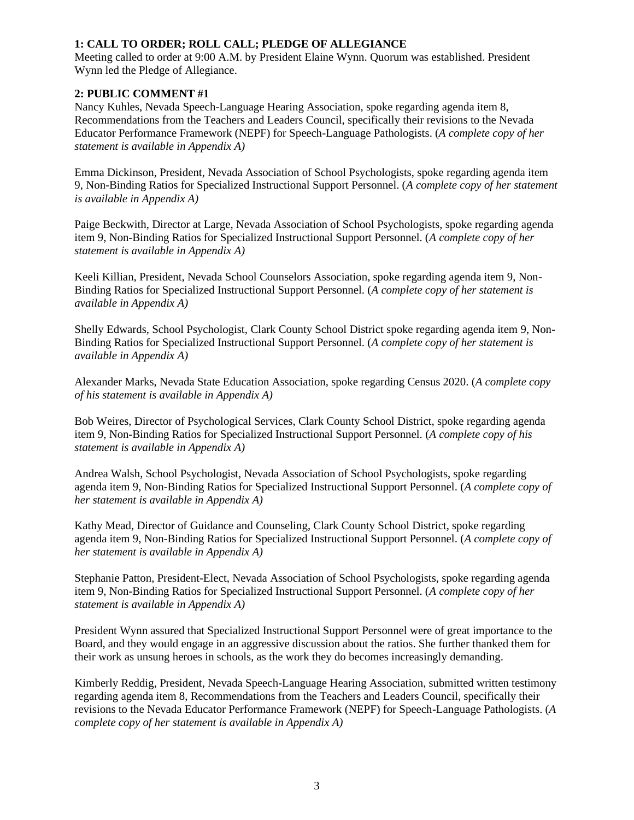# **1: CALL TO ORDER; ROLL CALL; PLEDGE OF ALLEGIANCE**

Meeting called to order at 9:00 A.M. by President Elaine Wynn. Quorum was established. President Wynn led the Pledge of Allegiance.

# **2: PUBLIC COMMENT #1**

Nancy Kuhles, Nevada Speech-Language Hearing Association, spoke regarding agenda item 8, Recommendations from the Teachers and Leaders Council, specifically their revisions to the Nevada Educator Performance Framework (NEPF) for Speech-Language Pathologists. (*A complete copy of her statement is available in Appendix A)*

Emma Dickinson, President, Nevada Association of School Psychologists, spoke regarding agenda item 9, Non-Binding Ratios for Specialized Instructional Support Personnel. (*A complete copy of her statement is available in Appendix A)*

Paige Beckwith, Director at Large, Nevada Association of School Psychologists, spoke regarding agenda item 9, Non-Binding Ratios for Specialized Instructional Support Personnel. (*A complete copy of her statement is available in Appendix A)*

Keeli Killian, President, Nevada School Counselors Association, spoke regarding agenda item 9, Non-Binding Ratios for Specialized Instructional Support Personnel. (*A complete copy of her statement is available in Appendix A)*

Shelly Edwards, School Psychologist, Clark County School District spoke regarding agenda item 9, Non-Binding Ratios for Specialized Instructional Support Personnel. (*A complete copy of her statement is available in Appendix A)*

Alexander Marks, Nevada State Education Association, spoke regarding Census 2020. (*A complete copy of his statement is available in Appendix A)*

Bob Weires, Director of Psychological Services, Clark County School District, spoke regarding agenda item 9, Non-Binding Ratios for Specialized Instructional Support Personnel. (*A complete copy of his statement is available in Appendix A)*

Andrea Walsh, School Psychologist, Nevada Association of School Psychologists, spoke regarding agenda item 9, Non-Binding Ratios for Specialized Instructional Support Personnel. (*A complete copy of her statement is available in Appendix A)*

Kathy Mead, Director of Guidance and Counseling, Clark County School District, spoke regarding agenda item 9, Non-Binding Ratios for Specialized Instructional Support Personnel. (*A complete copy of her statement is available in Appendix A)*

Stephanie Patton, President-Elect, Nevada Association of School Psychologists, spoke regarding agenda item 9, Non-Binding Ratios for Specialized Instructional Support Personnel. (*A complete copy of her statement is available in Appendix A)*

President Wynn assured that Specialized Instructional Support Personnel were of great importance to the Board, and they would engage in an aggressive discussion about the ratios. She further thanked them for their work as unsung heroes in schools, as the work they do becomes increasingly demanding.

Kimberly Reddig, President, Nevada Speech-Language Hearing Association, submitted written testimony regarding agenda item 8, Recommendations from the Teachers and Leaders Council, specifically their revisions to the Nevada Educator Performance Framework (NEPF) for Speech-Language Pathologists. (*A complete copy of her statement is available in Appendix A)*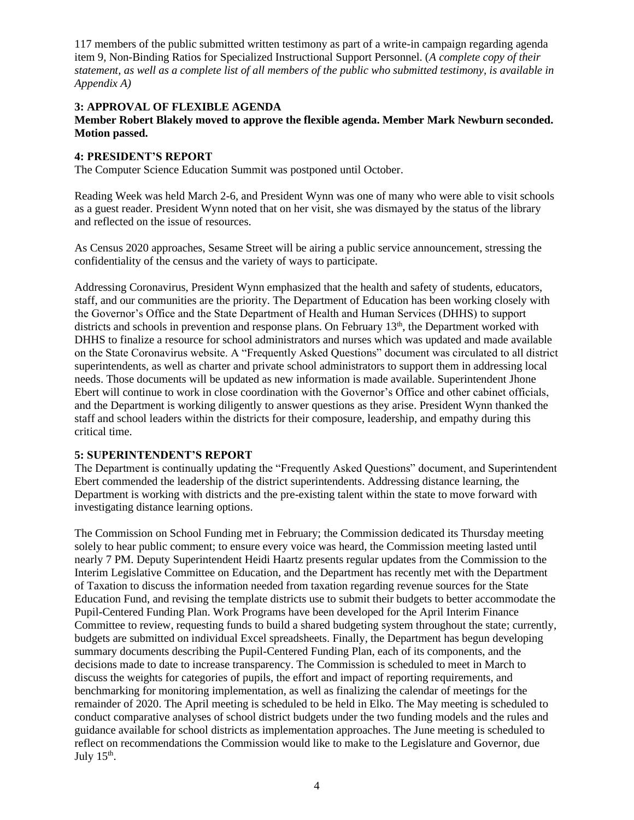117 members of the public submitted written testimony as part of a write-in campaign regarding agenda item 9, Non-Binding Ratios for Specialized Instructional Support Personnel. (*A complete copy of their statement, as well as a complete list of all members of the public who submitted testimony, is available in Appendix A)*

# **3: APPROVAL OF FLEXIBLE AGENDA**

# **Member Robert Blakely moved to approve the flexible agenda. Member Mark Newburn seconded. Motion passed.**

# **4: PRESIDENT'S REPORT**

The Computer Science Education Summit was postponed until October.

Reading Week was held March 2-6, and President Wynn was one of many who were able to visit schools as a guest reader. President Wynn noted that on her visit, she was dismayed by the status of the library and reflected on the issue of resources.

As Census 2020 approaches, Sesame Street will be airing a public service announcement, stressing the confidentiality of the census and the variety of ways to participate.

Addressing Coronavirus, President Wynn emphasized that the health and safety of students, educators, staff, and our communities are the priority. The Department of Education has been working closely with the Governor's Office and the State Department of Health and Human Services (DHHS) to support districts and schools in prevention and response plans. On February 13<sup>th</sup>, the Department worked with DHHS to finalize a resource for school administrators and nurses which was updated and made available on the State Coronavirus website. A "Frequently Asked Questions" document was circulated to all district superintendents, as well as charter and private school administrators to support them in addressing local needs. Those documents will be updated as new information is made available. Superintendent Jhone Ebert will continue to work in close coordination with the Governor's Office and other cabinet officials, and the Department is working diligently to answer questions as they arise. President Wynn thanked the staff and school leaders within the districts for their composure, leadership, and empathy during this critical time.

# **5: SUPERINTENDENT'S REPORT**

The Department is continually updating the "Frequently Asked Questions" document, and Superintendent Ebert commended the leadership of the district superintendents. Addressing distance learning, the Department is working with districts and the pre-existing talent within the state to move forward with investigating distance learning options.

The Commission on School Funding met in February; the Commission dedicated its Thursday meeting solely to hear public comment; to ensure every voice was heard, the Commission meeting lasted until nearly 7 PM. Deputy Superintendent Heidi Haartz presents regular updates from the Commission to the Interim Legislative Committee on Education, and the Department has recently met with the Department of Taxation to discuss the information needed from taxation regarding revenue sources for the State Education Fund, and revising the template districts use to submit their budgets to better accommodate the Pupil-Centered Funding Plan. Work Programs have been developed for the April Interim Finance Committee to review, requesting funds to build a shared budgeting system throughout the state; currently, budgets are submitted on individual Excel spreadsheets. Finally, the Department has begun developing summary documents describing the Pupil-Centered Funding Plan, each of its components, and the decisions made to date to increase transparency. The Commission is scheduled to meet in March to discuss the weights for categories of pupils, the effort and impact of reporting requirements, and benchmarking for monitoring implementation, as well as finalizing the calendar of meetings for the remainder of 2020. The April meeting is scheduled to be held in Elko. The May meeting is scheduled to conduct comparative analyses of school district budgets under the two funding models and the rules and guidance available for school districts as implementation approaches. The June meeting is scheduled to reflect on recommendations the Commission would like to make to the Legislature and Governor, due July  $15<sup>th</sup>$ .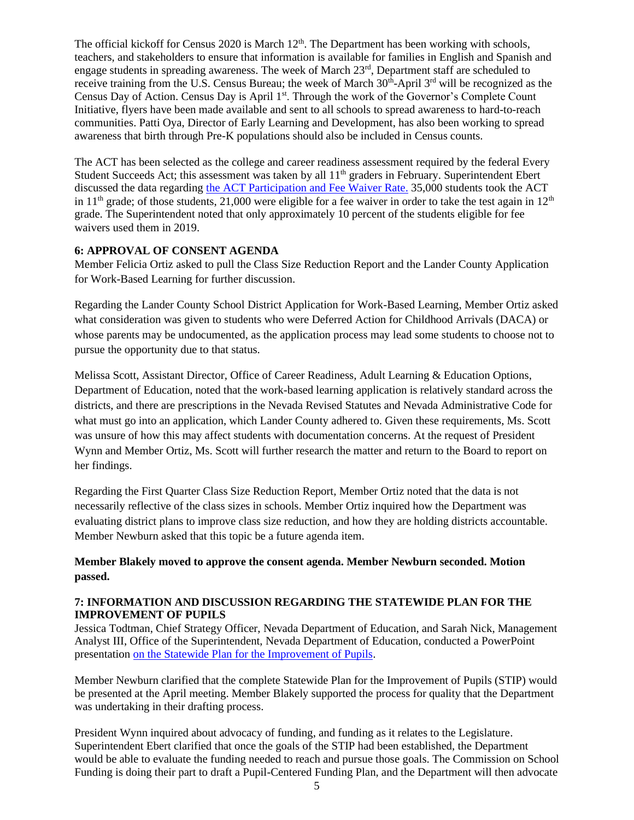The official kickoff for Census 2020 is March 12<sup>th</sup>. The Department has been working with schools, teachers, and stakeholders to ensure that information is available for families in English and Spanish and engage students in spreading awareness. The week of March 23rd, Department staff are scheduled to receive training from the U.S. Census Bureau; the week of March 30<sup>th</sup>-April 3<sup>rd</sup> will be recognized as the Census Day of Action. Census Day is April 1<sup>st</sup>. Through the work of the Governor's Complete Count Initiative, flyers have been made available and sent to all schools to spread awareness to hard-to-reach communities. Patti Oya, Director of Early Learning and Development, has also been working to spread awareness that birth through Pre-K populations should also be included in Census counts.

The ACT has been selected as the college and career readiness assessment required by the federal Every Student Succeeds Act; this assessment was taken by all 11<sup>th</sup> graders in February. Superintendent Ebert discussed the data regarding [the ACT Participation and Fee Waiver Rate.](http://www.doe.nv.gov/uploadedFiles/ndedoenvgov/content/Boards_Commissions_Councils/State_Board_of_Education/2020/March/ACTFeeWaiver.pdf) 35,000 students took the ACT in  $11<sup>th</sup>$  grade; of those students, 21,000 were eligible for a fee waiver in order to take the test again in  $12<sup>th</sup>$ grade. The Superintendent noted that only approximately 10 percent of the students eligible for fee waivers used them in 2019.

# **6: APPROVAL OF CONSENT AGENDA**

Member Felicia Ortiz asked to pull the Class Size Reduction Report and the Lander County Application for Work-Based Learning for further discussion.

Regarding the Lander County School District Application for Work-Based Learning, Member Ortiz asked what consideration was given to students who were Deferred Action for Childhood Arrivals (DACA) or whose parents may be undocumented, as the application process may lead some students to choose not to pursue the opportunity due to that status.

Melissa Scott, Assistant Director, Office of Career Readiness, Adult Learning & Education Options, Department of Education, noted that the work-based learning application is relatively standard across the districts, and there are prescriptions in the Nevada Revised Statutes and Nevada Administrative Code for what must go into an application, which Lander County adhered to. Given these requirements, Ms. Scott was unsure of how this may affect students with documentation concerns. At the request of President Wynn and Member Ortiz, Ms. Scott will further research the matter and return to the Board to report on her findings.

Regarding the First Quarter Class Size Reduction Report, Member Ortiz noted that the data is not necessarily reflective of the class sizes in schools. Member Ortiz inquired how the Department was evaluating district plans to improve class size reduction, and how they are holding districts accountable. Member Newburn asked that this topic be a future agenda item.

**Member Blakely moved to approve the consent agenda. Member Newburn seconded. Motion passed.** 

# **7: INFORMATION AND DISCUSSION REGARDING THE STATEWIDE PLAN FOR THE IMPROVEMENT OF PUPILS**

Jessica Todtman, Chief Strategy Officer, Nevada Department of Education, and Sarah Nick, Management Analyst III, Office of the Superintendent, Nevada Department of Education, conducted a PowerPoint presentation [on the Statewide Plan for the Improvement of Pupils.](http://www.doe.nv.gov/uploadedFiles/ndedoenvgov/content/Boards_Commissions_Councils/State_Board_of_Education/2020/March/SBE_STIP_03.12.20_V7.pdf)

Member Newburn clarified that the complete Statewide Plan for the Improvement of Pupils (STIP) would be presented at the April meeting. Member Blakely supported the process for quality that the Department was undertaking in their drafting process.

President Wynn inquired about advocacy of funding, and funding as it relates to the Legislature. Superintendent Ebert clarified that once the goals of the STIP had been established, the Department would be able to evaluate the funding needed to reach and pursue those goals. The Commission on School Funding is doing their part to draft a Pupil-Centered Funding Plan, and the Department will then advocate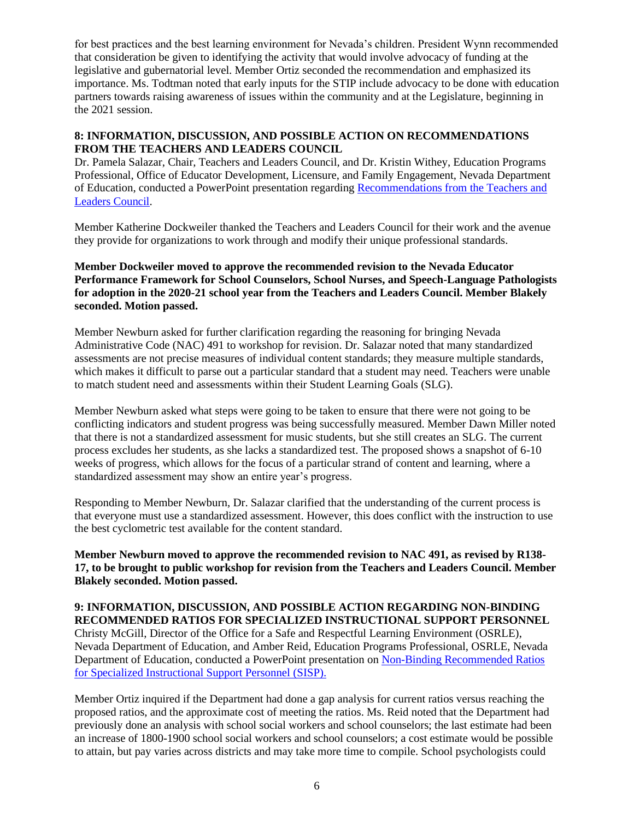for best practices and the best learning environment for Nevada's children. President Wynn recommended that consideration be given to identifying the activity that would involve advocacy of funding at the legislative and gubernatorial level. Member Ortiz seconded the recommendation and emphasized its importance. Ms. Todtman noted that early inputs for the STIP include advocacy to be done with education partners towards raising awareness of issues within the community and at the Legislature, beginning in the 2021 session.

# **8: INFORMATION, DISCUSSION, AND POSSIBLE ACTION ON RECOMMENDATIONS FROM THE TEACHERS AND LEADERS COUNCIL**

Dr. Pamela Salazar, Chair, Teachers and Leaders Council, and Dr. Kristin Withey, Education Programs Professional, Office of Educator Development, Licensure, and Family Engagement, Nevada Department of Education, conducted a PowerPoint presentation regarding [Recommendations from the Teachers and](http://www.doe.nv.gov/uploadedFiles/ndedoenvgov/content/Boards_Commissions_Councils/State_Board_of_Education/2020/March/SBE_Mar2020_TLCRecsSLpSCSNWkgrp.pdf)  [Leaders Council.](http://www.doe.nv.gov/uploadedFiles/ndedoenvgov/content/Boards_Commissions_Councils/State_Board_of_Education/2020/March/SBE_Mar2020_TLCRecsSLpSCSNWkgrp.pdf)

Member Katherine Dockweiler thanked the Teachers and Leaders Council for their work and the avenue they provide for organizations to work through and modify their unique professional standards.

# **Member Dockweiler moved to approve the recommended revision to the Nevada Educator Performance Framework for School Counselors, School Nurses, and Speech-Language Pathologists for adoption in the 2020-21 school year from the Teachers and Leaders Council. Member Blakely seconded. Motion passed.**

Member Newburn asked for further clarification regarding the reasoning for bringing Nevada Administrative Code (NAC) 491 to workshop for revision. Dr. Salazar noted that many standardized assessments are not precise measures of individual content standards; they measure multiple standards, which makes it difficult to parse out a particular standard that a student may need. Teachers were unable to match student need and assessments within their Student Learning Goals (SLG).

Member Newburn asked what steps were going to be taken to ensure that there were not going to be conflicting indicators and student progress was being successfully measured. Member Dawn Miller noted that there is not a standardized assessment for music students, but she still creates an SLG. The current process excludes her students, as she lacks a standardized test. The proposed shows a snapshot of 6-10 weeks of progress, which allows for the focus of a particular strand of content and learning, where a standardized assessment may show an entire year's progress.

Responding to Member Newburn, Dr. Salazar clarified that the understanding of the current process is that everyone must use a standardized assessment. However, this does conflict with the instruction to use the best cyclometric test available for the content standard.

**Member Newburn moved to approve the recommended revision to NAC 491, as revised by R138- 17, to be brought to public workshop for revision from the Teachers and Leaders Council. Member Blakely seconded. Motion passed.** 

**9: INFORMATION, DISCUSSION, AND POSSIBLE ACTION REGARDING NON-BINDING RECOMMENDED RATIOS FOR SPECIALIZED INSTRUCTIONAL SUPPORT PERSONNEL** Christy McGill, Director of the Office for a Safe and Respectful Learning Environment (OSRLE), Nevada Department of Education, and Amber Reid, Education Programs Professional, OSRLE, Nevada Department of Education, conducted a PowerPoint presentation on [Non-Binding Recommended Ratios](http://www.doe.nv.gov/uploadedFiles/ndedoenvgov/content/Boards_Commissions_Councils/State_Board_of_Education/2020/March/SISPRatios.pdf)  [for Specialized Instructional Support Personnel](http://www.doe.nv.gov/uploadedFiles/ndedoenvgov/content/Boards_Commissions_Councils/State_Board_of_Education/2020/March/SISPRatios.pdf) (SISP).

Member Ortiz inquired if the Department had done a gap analysis for current ratios versus reaching the proposed ratios, and the approximate cost of meeting the ratios. Ms. Reid noted that the Department had previously done an analysis with school social workers and school counselors; the last estimate had been an increase of 1800-1900 school social workers and school counselors; a cost estimate would be possible to attain, but pay varies across districts and may take more time to compile. School psychologists could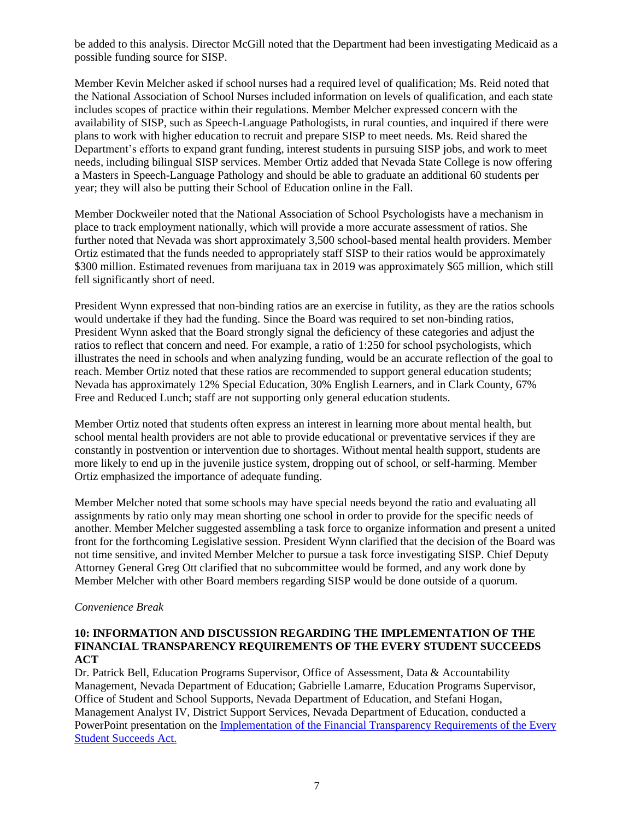be added to this analysis. Director McGill noted that the Department had been investigating Medicaid as a possible funding source for SISP.

Member Kevin Melcher asked if school nurses had a required level of qualification; Ms. Reid noted that the National Association of School Nurses included information on levels of qualification, and each state includes scopes of practice within their regulations. Member Melcher expressed concern with the availability of SISP, such as Speech-Language Pathologists, in rural counties, and inquired if there were plans to work with higher education to recruit and prepare SISP to meet needs. Ms. Reid shared the Department's efforts to expand grant funding, interest students in pursuing SISP jobs, and work to meet needs, including bilingual SISP services. Member Ortiz added that Nevada State College is now offering a Masters in Speech-Language Pathology and should be able to graduate an additional 60 students per year; they will also be putting their School of Education online in the Fall.

Member Dockweiler noted that the National Association of School Psychologists have a mechanism in place to track employment nationally, which will provide a more accurate assessment of ratios. She further noted that Nevada was short approximately 3,500 school-based mental health providers. Member Ortiz estimated that the funds needed to appropriately staff SISP to their ratios would be approximately \$300 million. Estimated revenues from marijuana tax in 2019 was approximately \$65 million, which still fell significantly short of need.

President Wynn expressed that non-binding ratios are an exercise in futility, as they are the ratios schools would undertake if they had the funding. Since the Board was required to set non-binding ratios, President Wynn asked that the Board strongly signal the deficiency of these categories and adjust the ratios to reflect that concern and need. For example, a ratio of 1:250 for school psychologists, which illustrates the need in schools and when analyzing funding, would be an accurate reflection of the goal to reach. Member Ortiz noted that these ratios are recommended to support general education students; Nevada has approximately 12% Special Education, 30% English Learners, and in Clark County, 67% Free and Reduced Lunch; staff are not supporting only general education students.

Member Ortiz noted that students often express an interest in learning more about mental health, but school mental health providers are not able to provide educational or preventative services if they are constantly in postvention or intervention due to shortages. Without mental health support, students are more likely to end up in the juvenile justice system, dropping out of school, or self-harming. Member Ortiz emphasized the importance of adequate funding.

Member Melcher noted that some schools may have special needs beyond the ratio and evaluating all assignments by ratio only may mean shorting one school in order to provide for the specific needs of another. Member Melcher suggested assembling a task force to organize information and present a united front for the forthcoming Legislative session. President Wynn clarified that the decision of the Board was not time sensitive, and invited Member Melcher to pursue a task force investigating SISP. Chief Deputy Attorney General Greg Ott clarified that no subcommittee would be formed, and any work done by Member Melcher with other Board members regarding SISP would be done outside of a quorum.

#### *Convenience Break*

#### **10: INFORMATION AND DISCUSSION REGARDING THE IMPLEMENTATION OF THE FINANCIAL TRANSPARENCY REQUIREMENTS OF THE EVERY STUDENT SUCCEEDS ACT**

Dr. Patrick Bell, Education Programs Supervisor, Office of Assessment, Data & Accountability Management, Nevada Department of Education; Gabrielle Lamarre, Education Programs Supervisor, Office of Student and School Supports, Nevada Department of Education, and Stefani Hogan, Management Analyst IV, District Support Services, Nevada Department of Education, conducted a PowerPoint presentation on the [Implementation of the Financial Transparency Requirements of the Every](http://nde.doe.staging.nv.gov/uploadedFiles/ndedoenvgov/content/Boards_Commissions_Councils/State_Board_of_Education/2020/March/ESSAFinancialTransparency.pdf)  [Student Succeeds Act.](http://nde.doe.staging.nv.gov/uploadedFiles/ndedoenvgov/content/Boards_Commissions_Councils/State_Board_of_Education/2020/March/ESSAFinancialTransparency.pdf)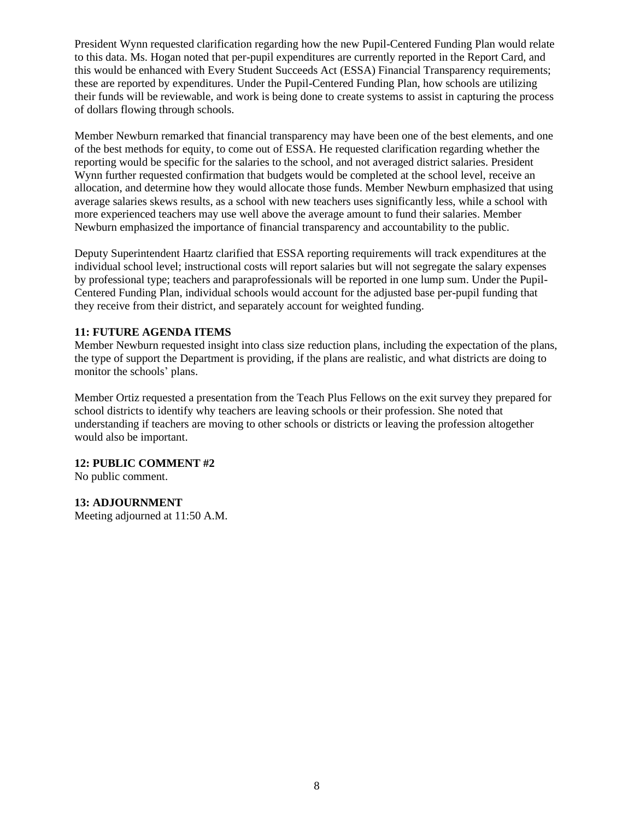President Wynn requested clarification regarding how the new Pupil-Centered Funding Plan would relate to this data. Ms. Hogan noted that per-pupil expenditures are currently reported in the Report Card, and this would be enhanced with Every Student Succeeds Act (ESSA) Financial Transparency requirements; these are reported by expenditures. Under the Pupil-Centered Funding Plan, how schools are utilizing their funds will be reviewable, and work is being done to create systems to assist in capturing the process of dollars flowing through schools.

Member Newburn remarked that financial transparency may have been one of the best elements, and one of the best methods for equity, to come out of ESSA. He requested clarification regarding whether the reporting would be specific for the salaries to the school, and not averaged district salaries. President Wynn further requested confirmation that budgets would be completed at the school level, receive an allocation, and determine how they would allocate those funds. Member Newburn emphasized that using average salaries skews results, as a school with new teachers uses significantly less, while a school with more experienced teachers may use well above the average amount to fund their salaries. Member Newburn emphasized the importance of financial transparency and accountability to the public.

Deputy Superintendent Haartz clarified that ESSA reporting requirements will track expenditures at the individual school level; instructional costs will report salaries but will not segregate the salary expenses by professional type; teachers and paraprofessionals will be reported in one lump sum. Under the Pupil-Centered Funding Plan, individual schools would account for the adjusted base per-pupil funding that they receive from their district, and separately account for weighted funding.

# **11: FUTURE AGENDA ITEMS**

Member Newburn requested insight into class size reduction plans, including the expectation of the plans, the type of support the Department is providing, if the plans are realistic, and what districts are doing to monitor the schools' plans.

Member Ortiz requested a presentation from the Teach Plus Fellows on the exit survey they prepared for school districts to identify why teachers are leaving schools or their profession. She noted that understanding if teachers are moving to other schools or districts or leaving the profession altogether would also be important.

# **12: PUBLIC COMMENT #2**

No public comment.

# **13: ADJOURNMENT**

Meeting adjourned at 11:50 A.M.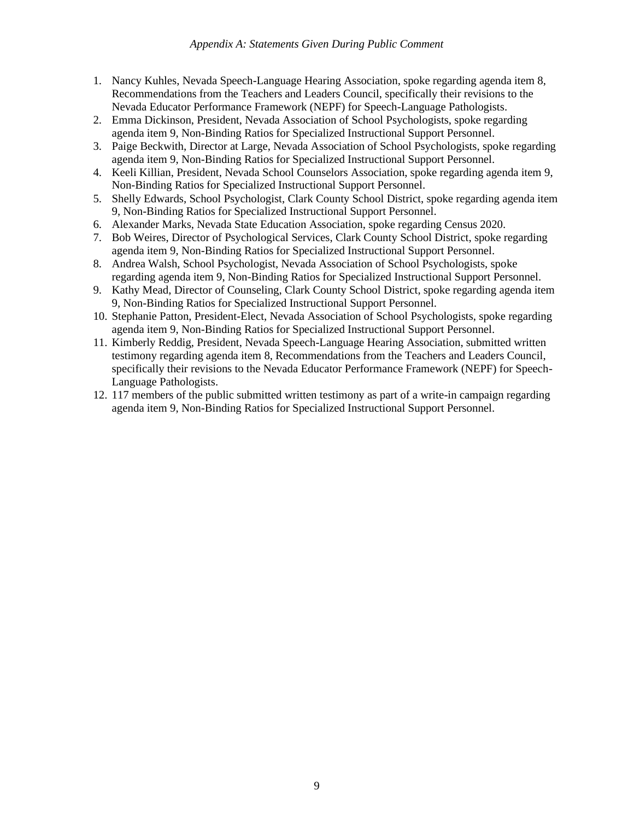#### *Appendix A: Statements Given During Public Comment*

- 1. Nancy Kuhles, Nevada Speech-Language Hearing Association, spoke regarding agenda item 8, Recommendations from the Teachers and Leaders Council, specifically their revisions to the Nevada Educator Performance Framework (NEPF) for Speech-Language Pathologists.
- 2. Emma Dickinson, President, Nevada Association of School Psychologists, spoke regarding agenda item 9, Non-Binding Ratios for Specialized Instructional Support Personnel.
- 3. Paige Beckwith, Director at Large, Nevada Association of School Psychologists, spoke regarding agenda item 9, Non-Binding Ratios for Specialized Instructional Support Personnel.
- 4. Keeli Killian, President, Nevada School Counselors Association, spoke regarding agenda item 9, Non-Binding Ratios for Specialized Instructional Support Personnel.
- 5. Shelly Edwards, School Psychologist, Clark County School District, spoke regarding agenda item 9, Non-Binding Ratios for Specialized Instructional Support Personnel.
- 6. Alexander Marks, Nevada State Education Association, spoke regarding Census 2020.
- 7. Bob Weires, Director of Psychological Services, Clark County School District, spoke regarding agenda item 9, Non-Binding Ratios for Specialized Instructional Support Personnel.
- 8. Andrea Walsh, School Psychologist, Nevada Association of School Psychologists, spoke regarding agenda item 9, Non-Binding Ratios for Specialized Instructional Support Personnel.
- 9. Kathy Mead, Director of Counseling, Clark County School District, spoke regarding agenda item 9, Non-Binding Ratios for Specialized Instructional Support Personnel.
- 10. Stephanie Patton, President-Elect, Nevada Association of School Psychologists, spoke regarding agenda item 9, Non-Binding Ratios for Specialized Instructional Support Personnel.
- 11. Kimberly Reddig, President, Nevada Speech-Language Hearing Association, submitted written testimony regarding agenda item 8, Recommendations from the Teachers and Leaders Council, specifically their revisions to the Nevada Educator Performance Framework (NEPF) for Speech-Language Pathologists.
- 12. 117 members of the public submitted written testimony as part of a write-in campaign regarding agenda item 9, Non-Binding Ratios for Specialized Instructional Support Personnel.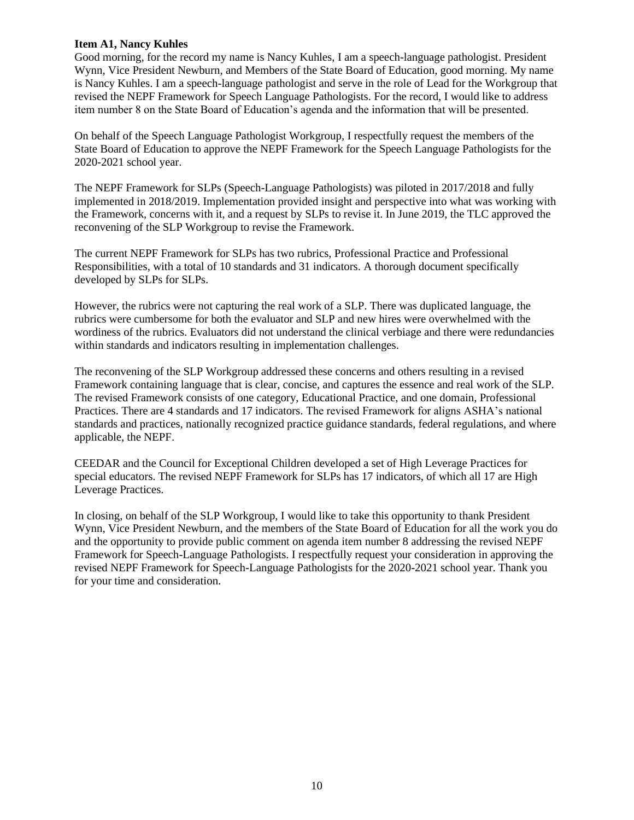## **Item A1, Nancy Kuhles**

Good morning, for the record my name is Nancy Kuhles, I am a speech-language pathologist. President Wynn, Vice President Newburn, and Members of the State Board of Education, good morning. My name is Nancy Kuhles. I am a speech-language pathologist and serve in the role of Lead for the Workgroup that revised the NEPF Framework for Speech Language Pathologists. For the record, I would like to address item number 8 on the State Board of Education's agenda and the information that will be presented.

On behalf of the Speech Language Pathologist Workgroup, I respectfully request the members of the State Board of Education to approve the NEPF Framework for the Speech Language Pathologists for the 2020-2021 school year.

The NEPF Framework for SLPs (Speech-Language Pathologists) was piloted in 2017/2018 and fully implemented in 2018/2019. Implementation provided insight and perspective into what was working with the Framework, concerns with it, and a request by SLPs to revise it. In June 2019, the TLC approved the reconvening of the SLP Workgroup to revise the Framework.

The current NEPF Framework for SLPs has two rubrics, Professional Practice and Professional Responsibilities, with a total of 10 standards and 31 indicators. A thorough document specifically developed by SLPs for SLPs.

However, the rubrics were not capturing the real work of a SLP. There was duplicated language, the rubrics were cumbersome for both the evaluator and SLP and new hires were overwhelmed with the wordiness of the rubrics. Evaluators did not understand the clinical verbiage and there were redundancies within standards and indicators resulting in implementation challenges.

The reconvening of the SLP Workgroup addressed these concerns and others resulting in a revised Framework containing language that is clear, concise, and captures the essence and real work of the SLP. The revised Framework consists of one category, Educational Practice, and one domain, Professional Practices. There are 4 standards and 17 indicators. The revised Framework for aligns ASHA's national standards and practices, nationally recognized practice guidance standards, federal regulations, and where applicable, the NEPF.

CEEDAR and the Council for Exceptional Children developed a set of High Leverage Practices for special educators. The revised NEPF Framework for SLPs has 17 indicators, of which all 17 are High Leverage Practices.

In closing, on behalf of the SLP Workgroup, I would like to take this opportunity to thank President Wynn, Vice President Newburn, and the members of the State Board of Education for all the work you do and the opportunity to provide public comment on agenda item number 8 addressing the revised NEPF Framework for Speech-Language Pathologists. I respectfully request your consideration in approving the revised NEPF Framework for Speech-Language Pathologists for the 2020-2021 school year. Thank you for your time and consideration.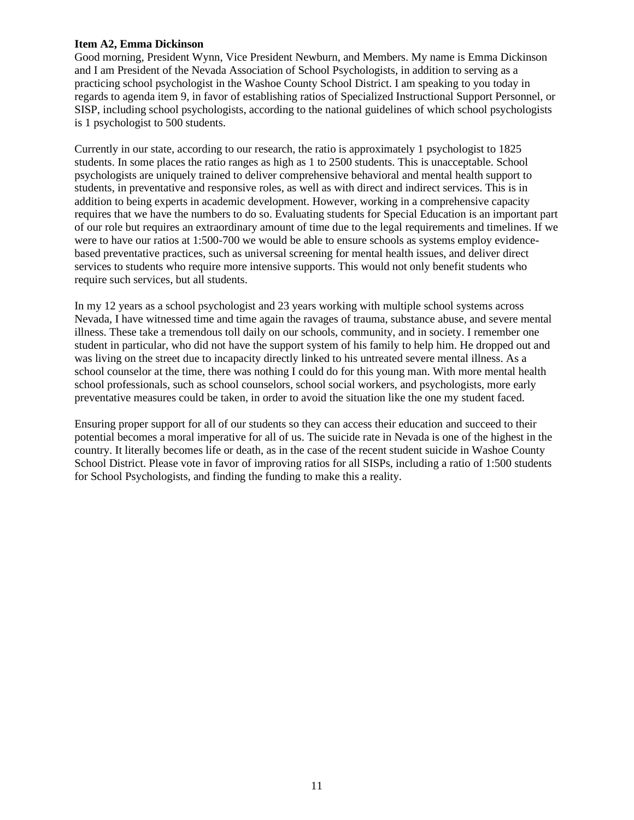## **Item A2, Emma Dickinson**

Good morning, President Wynn, Vice President Newburn, and Members. My name is Emma Dickinson and I am President of the Nevada Association of School Psychologists, in addition to serving as a practicing school psychologist in the Washoe County School District. I am speaking to you today in regards to agenda item 9, in favor of establishing ratios of Specialized Instructional Support Personnel, or SISP, including school psychologists, according to the national guidelines of which school psychologists is 1 psychologist to 500 students.

Currently in our state, according to our research, the ratio is approximately 1 psychologist to 1825 students. In some places the ratio ranges as high as 1 to 2500 students. This is unacceptable. School psychologists are uniquely trained to deliver comprehensive behavioral and mental health support to students, in preventative and responsive roles, as well as with direct and indirect services. This is in addition to being experts in academic development. However, working in a comprehensive capacity requires that we have the numbers to do so. Evaluating students for Special Education is an important part of our role but requires an extraordinary amount of time due to the legal requirements and timelines. If we were to have our ratios at 1:500-700 we would be able to ensure schools as systems employ evidencebased preventative practices, such as universal screening for mental health issues, and deliver direct services to students who require more intensive supports. This would not only benefit students who require such services, but all students.

In my 12 years as a school psychologist and 23 years working with multiple school systems across Nevada, I have witnessed time and time again the ravages of trauma, substance abuse, and severe mental illness. These take a tremendous toll daily on our schools, community, and in society. I remember one student in particular, who did not have the support system of his family to help him. He dropped out and was living on the street due to incapacity directly linked to his untreated severe mental illness. As a school counselor at the time, there was nothing I could do for this young man. With more mental health school professionals, such as school counselors, school social workers, and psychologists, more early preventative measures could be taken, in order to avoid the situation like the one my student faced.

Ensuring proper support for all of our students so they can access their education and succeed to their potential becomes a moral imperative for all of us. The suicide rate in Nevada is one of the highest in the country. It literally becomes life or death, as in the case of the recent student suicide in Washoe County School District. Please vote in favor of improving ratios for all SISPs, including a ratio of 1:500 students for School Psychologists, and finding the funding to make this a reality.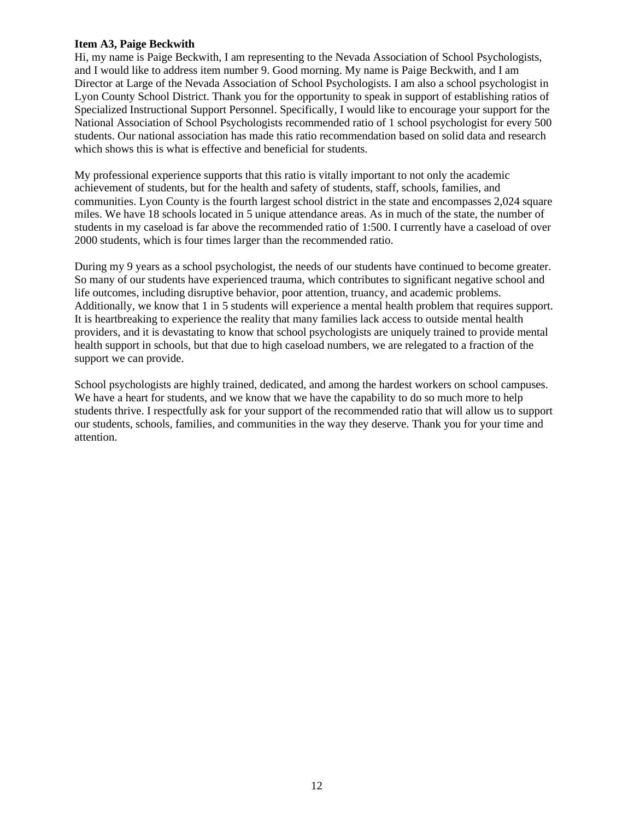## **Item A3, Paige Beckwith**

Hi, my name is Paige Beckwith, I am representing to the Nevada Association of School Psychologists, and I would like to address item number 9. Good morning. My name is Paige Beckwith, and I am Director at Large of the Nevada Association of School Psychologists. I am also a school psychologist in Lyon County School District. Thank you for the opportunity to speak in support of establishing ratios of Specialized Instructional Support Personnel. Specifically, I would like to encourage your support for the National Association of School Psychologists recommended ratio of 1 school psychologist for every 500 students. Our national association has made this ratio recommendation based on solid data and research which shows this is what is effective and beneficial for students.

My professional experience supports that this ratio is vitally important to not only the academic achievement of students, but for the health and safety of students, staff, schools, families, and communities. Lyon County is the fourth largest school district in the state and encompasses 2,024 square miles. We have 18 schools located in 5 unique attendance areas. As in much of the state, the number of students in my caseload is far above the recommended ratio of 1:500. I currently have a caseload of over 2000 students, which is four times larger than the recommended ratio.

During my 9 years as a school psychologist, the needs of our students have continued to become greater. So many of our students have experienced trauma, which contributes to significant negative school and life outcomes, including disruptive behavior, poor attention, truancy, and academic problems. Additionally, we know that 1 in 5 students will experience a mental health problem that requires support. It is heartbreaking to experience the reality that many families lack access to outside mental health providers, and it is devastating to know that school psychologists are uniquely trained to provide mental health support in schools, but that due to high caseload numbers, we are relegated to a fraction of the support we can provide.

School psychologists are highly trained, dedicated, and among the hardest workers on school campuses. We have a heart for students, and we know that we have the capability to do so much more to help students thrive. I respectfully ask for your support of the recommended ratio that will allow us to support our students, schools, families, and communities in the way they deserve. Thank you for your time and attention.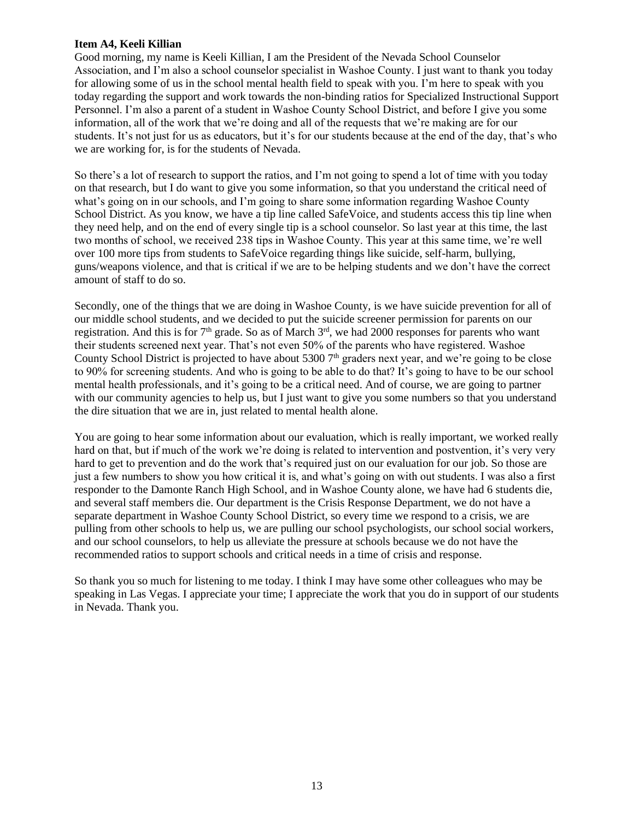## **Item A4, Keeli Killian**

Good morning, my name is Keeli Killian, I am the President of the Nevada School Counselor Association, and I'm also a school counselor specialist in Washoe County. I just want to thank you today for allowing some of us in the school mental health field to speak with you. I'm here to speak with you today regarding the support and work towards the non-binding ratios for Specialized Instructional Support Personnel. I'm also a parent of a student in Washoe County School District, and before I give you some information, all of the work that we're doing and all of the requests that we're making are for our students. It's not just for us as educators, but it's for our students because at the end of the day, that's who we are working for, is for the students of Nevada.

So there's a lot of research to support the ratios, and I'm not going to spend a lot of time with you today on that research, but I do want to give you some information, so that you understand the critical need of what's going on in our schools, and I'm going to share some information regarding Washoe County School District. As you know, we have a tip line called SafeVoice, and students access this tip line when they need help, and on the end of every single tip is a school counselor. So last year at this time, the last two months of school, we received 238 tips in Washoe County. This year at this same time, we're well over 100 more tips from students to SafeVoice regarding things like suicide, self-harm, bullying, guns/weapons violence, and that is critical if we are to be helping students and we don't have the correct amount of staff to do so.

Secondly, one of the things that we are doing in Washoe County, is we have suicide prevention for all of our middle school students, and we decided to put the suicide screener permission for parents on our registration. And this is for  $7<sup>th</sup>$  grade. So as of March  $3<sup>rd</sup>$ , we had 2000 responses for parents who want their students screened next year. That's not even 50% of the parents who have registered. Washoe County School District is projected to have about 5300  $7<sup>th</sup>$  graders next year, and we're going to be close to 90% for screening students. And who is going to be able to do that? It's going to have to be our school mental health professionals, and it's going to be a critical need. And of course, we are going to partner with our community agencies to help us, but I just want to give you some numbers so that you understand the dire situation that we are in, just related to mental health alone.

You are going to hear some information about our evaluation, which is really important, we worked really hard on that, but if much of the work we're doing is related to intervention and postvention, it's very very hard to get to prevention and do the work that's required just on our evaluation for our job. So those are just a few numbers to show you how critical it is, and what's going on with out students. I was also a first responder to the Damonte Ranch High School, and in Washoe County alone, we have had 6 students die, and several staff members die. Our department is the Crisis Response Department, we do not have a separate department in Washoe County School District, so every time we respond to a crisis, we are pulling from other schools to help us, we are pulling our school psychologists, our school social workers, and our school counselors, to help us alleviate the pressure at schools because we do not have the recommended ratios to support schools and critical needs in a time of crisis and response.

So thank you so much for listening to me today. I think I may have some other colleagues who may be speaking in Las Vegas. I appreciate your time; I appreciate the work that you do in support of our students in Nevada. Thank you.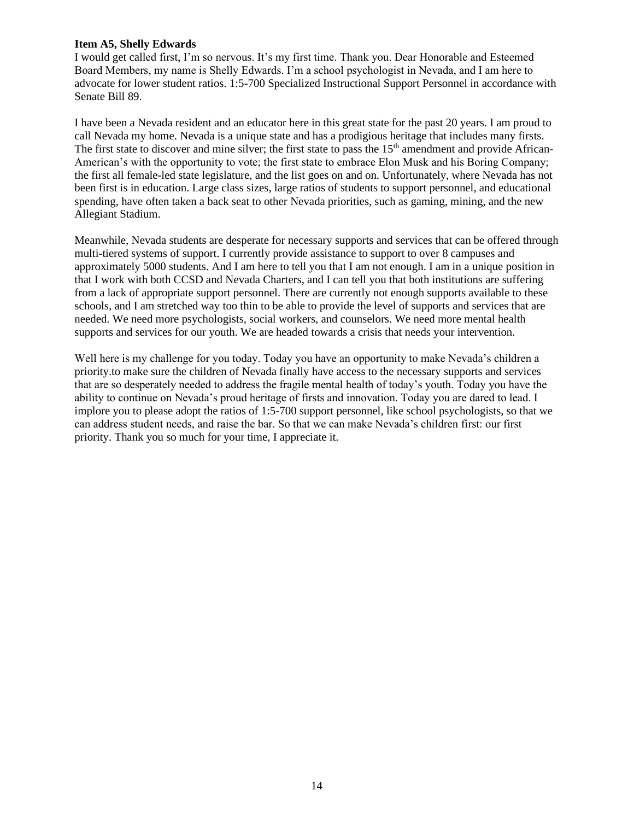## **Item A5, Shelly Edwards**

I would get called first, I'm so nervous. It's my first time. Thank you. Dear Honorable and Esteemed Board Members, my name is Shelly Edwards. I'm a school psychologist in Nevada, and I am here to advocate for lower student ratios. 1:5-700 Specialized Instructional Support Personnel in accordance with Senate Bill 89.

I have been a Nevada resident and an educator here in this great state for the past 20 years. I am proud to call Nevada my home. Nevada is a unique state and has a prodigious heritage that includes many firsts. The first state to discover and mine silver; the first state to pass the  $15<sup>th</sup>$  amendment and provide African-American's with the opportunity to vote; the first state to embrace Elon Musk and his Boring Company; the first all female-led state legislature, and the list goes on and on. Unfortunately, where Nevada has not been first is in education. Large class sizes, large ratios of students to support personnel, and educational spending, have often taken a back seat to other Nevada priorities, such as gaming, mining, and the new Allegiant Stadium.

Meanwhile, Nevada students are desperate for necessary supports and services that can be offered through multi-tiered systems of support. I currently provide assistance to support to over 8 campuses and approximately 5000 students. And I am here to tell you that I am not enough. I am in a unique position in that I work with both CCSD and Nevada Charters, and I can tell you that both institutions are suffering from a lack of appropriate support personnel. There are currently not enough supports available to these schools, and I am stretched way too thin to be able to provide the level of supports and services that are needed. We need more psychologists, social workers, and counselors. We need more mental health supports and services for our youth. We are headed towards a crisis that needs your intervention.

Well here is my challenge for you today. Today you have an opportunity to make Nevada's children a priority.to make sure the children of Nevada finally have access to the necessary supports and services that are so desperately needed to address the fragile mental health of today's youth. Today you have the ability to continue on Nevada's proud heritage of firsts and innovation. Today you are dared to lead. I implore you to please adopt the ratios of 1:5-700 support personnel, like school psychologists, so that we can address student needs, and raise the bar. So that we can make Nevada's children first: our first priority. Thank you so much for your time, I appreciate it.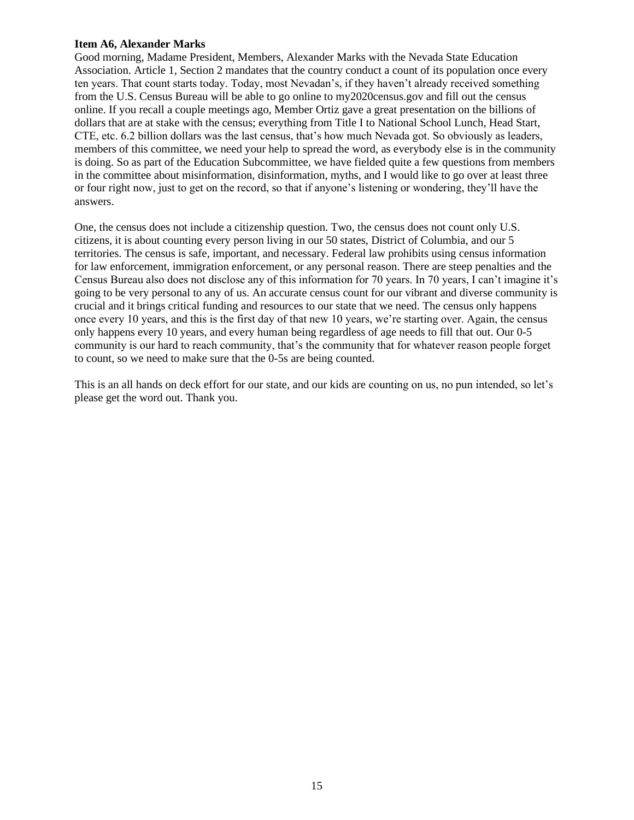### **Item A6, Alexander Marks**

Good morning, Madame President, Members, Alexander Marks with the Nevada State Education Association. Article 1, Section 2 mandates that the country conduct a count of its population once every ten years. That count starts today. Today, most Nevadan's, if they haven't already received something from the U.S. Census Bureau will be able to go online to my2020census.gov and fill out the census online. If you recall a couple meetings ago, Member Ortiz gave a great presentation on the billions of dollars that are at stake with the census; everything from Title I to National School Lunch, Head Start, CTE, etc. 6.2 billion dollars was the last census, that's how much Nevada got. So obviously as leaders, members of this committee, we need your help to spread the word, as everybody else is in the community is doing. So as part of the Education Subcommittee, we have fielded quite a few questions from members in the committee about misinformation, disinformation, myths, and I would like to go over at least three or four right now, just to get on the record, so that if anyone's listening or wondering, they'll have the answers.

One, the census does not include a citizenship question. Two, the census does not count only U.S. citizens, it is about counting every person living in our 50 states, District of Columbia, and our 5 territories. The census is safe, important, and necessary. Federal law prohibits using census information for law enforcement, immigration enforcement, or any personal reason. There are steep penalties and the Census Bureau also does not disclose any of this information for 70 years. In 70 years, I can't imagine it's going to be very personal to any of us. An accurate census count for our vibrant and diverse community is crucial and it brings critical funding and resources to our state that we need. The census only happens once every 10 years, and this is the first day of that new 10 years, we're starting over. Again, the census only happens every 10 years, and every human being regardless of age needs to fill that out. Our 0-5 community is our hard to reach community, that's the community that for whatever reason people forget to count, so we need to make sure that the 0-5s are being counted.

This is an all hands on deck effort for our state, and our kids are counting on us, no pun intended, so let's please get the word out. Thank you.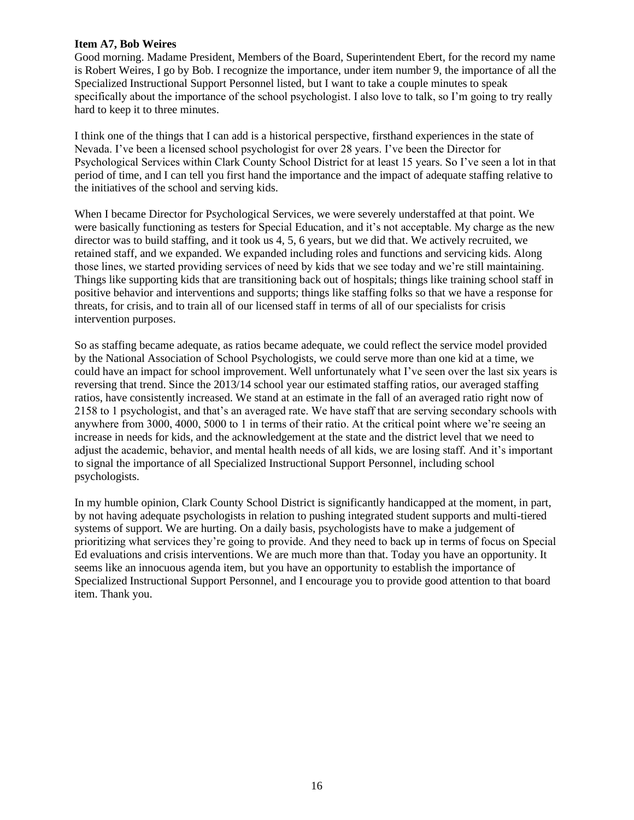## **Item A7, Bob Weires**

Good morning. Madame President, Members of the Board, Superintendent Ebert, for the record my name is Robert Weires, I go by Bob. I recognize the importance, under item number 9, the importance of all the Specialized Instructional Support Personnel listed, but I want to take a couple minutes to speak specifically about the importance of the school psychologist. I also love to talk, so I'm going to try really hard to keep it to three minutes.

I think one of the things that I can add is a historical perspective, firsthand experiences in the state of Nevada. I've been a licensed school psychologist for over 28 years. I've been the Director for Psychological Services within Clark County School District for at least 15 years. So I've seen a lot in that period of time, and I can tell you first hand the importance and the impact of adequate staffing relative to the initiatives of the school and serving kids.

When I became Director for Psychological Services, we were severely understaffed at that point. We were basically functioning as testers for Special Education, and it's not acceptable. My charge as the new director was to build staffing, and it took us 4, 5, 6 years, but we did that. We actively recruited, we retained staff, and we expanded. We expanded including roles and functions and servicing kids. Along those lines, we started providing services of need by kids that we see today and we're still maintaining. Things like supporting kids that are transitioning back out of hospitals; things like training school staff in positive behavior and interventions and supports; things like staffing folks so that we have a response for threats, for crisis, and to train all of our licensed staff in terms of all of our specialists for crisis intervention purposes.

So as staffing became adequate, as ratios became adequate, we could reflect the service model provided by the National Association of School Psychologists, we could serve more than one kid at a time, we could have an impact for school improvement. Well unfortunately what I've seen over the last six years is reversing that trend. Since the 2013/14 school year our estimated staffing ratios, our averaged staffing ratios, have consistently increased. We stand at an estimate in the fall of an averaged ratio right now of 2158 to 1 psychologist, and that's an averaged rate. We have staff that are serving secondary schools with anywhere from 3000, 4000, 5000 to 1 in terms of their ratio. At the critical point where we're seeing an increase in needs for kids, and the acknowledgement at the state and the district level that we need to adjust the academic, behavior, and mental health needs of all kids, we are losing staff. And it's important to signal the importance of all Specialized Instructional Support Personnel, including school psychologists.

In my humble opinion, Clark County School District is significantly handicapped at the moment, in part, by not having adequate psychologists in relation to pushing integrated student supports and multi-tiered systems of support. We are hurting. On a daily basis, psychologists have to make a judgement of prioritizing what services they're going to provide. And they need to back up in terms of focus on Special Ed evaluations and crisis interventions. We are much more than that. Today you have an opportunity. It seems like an innocuous agenda item, but you have an opportunity to establish the importance of Specialized Instructional Support Personnel, and I encourage you to provide good attention to that board item. Thank you.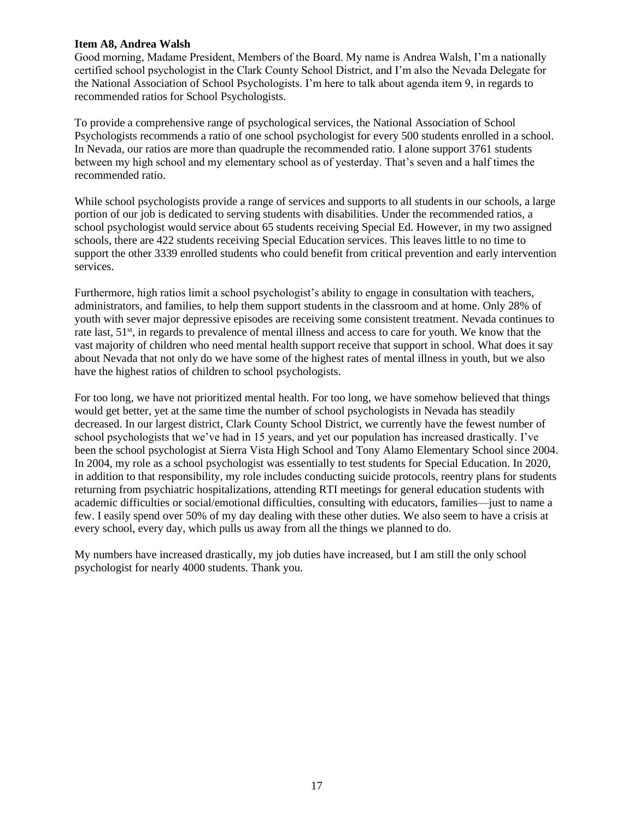## **Item A8, Andrea Walsh**

Good morning, Madame President, Members of the Board. My name is Andrea Walsh, I'm a nationally certified school psychologist in the Clark County School District, and I'm also the Nevada Delegate for the National Association of School Psychologists. I'm here to talk about agenda item 9, in regards to recommended ratios for School Psychologists.

To provide a comprehensive range of psychological services, the National Association of School Psychologists recommends a ratio of one school psychologist for every 500 students enrolled in a school. In Nevada, our ratios are more than quadruple the recommended ratio. I alone support 3761 students between my high school and my elementary school as of yesterday. That's seven and a half times the recommended ratio.

While school psychologists provide a range of services and supports to all students in our schools, a large portion of our job is dedicated to serving students with disabilities. Under the recommended ratios, a school psychologist would service about 65 students receiving Special Ed. However, in my two assigned schools, there are 422 students receiving Special Education services. This leaves little to no time to support the other 3339 enrolled students who could benefit from critical prevention and early intervention services.

Furthermore, high ratios limit a school psychologist's ability to engage in consultation with teachers, administrators, and families, to help them support students in the classroom and at home. Only 28% of youth with sever major depressive episodes are receiving some consistent treatment. Nevada continues to rate last, 51<sup>st</sup>, in regards to prevalence of mental illness and access to care for youth. We know that the vast majority of children who need mental health support receive that support in school. What does it say about Nevada that not only do we have some of the highest rates of mental illness in youth, but we also have the highest ratios of children to school psychologists.

For too long, we have not prioritized mental health. For too long, we have somehow believed that things would get better, yet at the same time the number of school psychologists in Nevada has steadily decreased. In our largest district, Clark County School District, we currently have the fewest number of school psychologists that we've had in 15 years, and yet our population has increased drastically. I've been the school psychologist at Sierra Vista High School and Tony Alamo Elementary School since 2004. In 2004, my role as a school psychologist was essentially to test students for Special Education. In 2020, in addition to that responsibility, my role includes conducting suicide protocols, reentry plans for students returning from psychiatric hospitalizations, attending RTI meetings for general education students with academic difficulties or social/emotional difficulties, consulting with educators, families—just to name a few. I easily spend over 50% of my day dealing with these other duties. We also seem to have a crisis at every school, every day, which pulls us away from all the things we planned to do.

My numbers have increased drastically, my job duties have increased, but I am still the only school psychologist for nearly 4000 students. Thank you.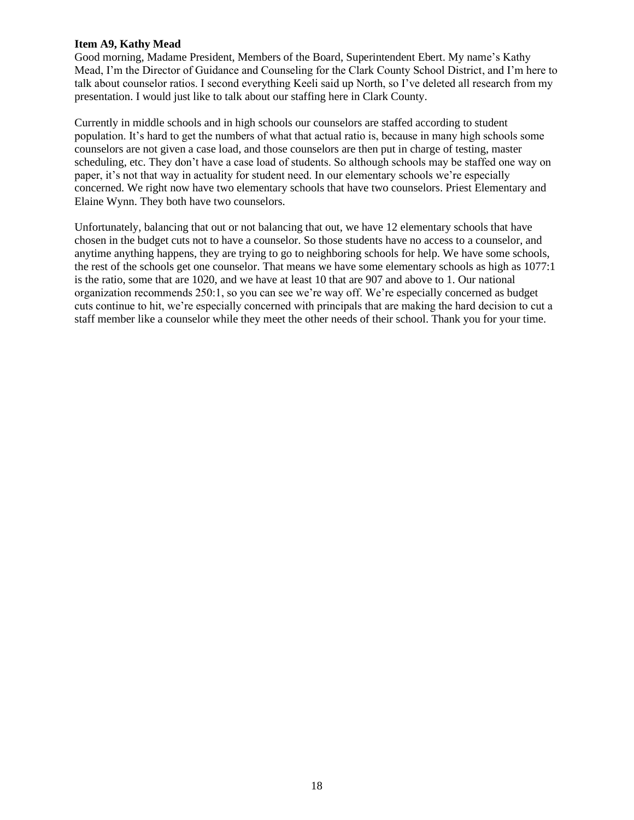## **Item A9, Kathy Mead**

Good morning, Madame President, Members of the Board, Superintendent Ebert. My name's Kathy Mead, I'm the Director of Guidance and Counseling for the Clark County School District, and I'm here to talk about counselor ratios. I second everything Keeli said up North, so I've deleted all research from my presentation. I would just like to talk about our staffing here in Clark County.

Currently in middle schools and in high schools our counselors are staffed according to student population. It's hard to get the numbers of what that actual ratio is, because in many high schools some counselors are not given a case load, and those counselors are then put in charge of testing, master scheduling, etc. They don't have a case load of students. So although schools may be staffed one way on paper, it's not that way in actuality for student need. In our elementary schools we're especially concerned. We right now have two elementary schools that have two counselors. Priest Elementary and Elaine Wynn. They both have two counselors.

Unfortunately, balancing that out or not balancing that out, we have 12 elementary schools that have chosen in the budget cuts not to have a counselor. So those students have no access to a counselor, and anytime anything happens, they are trying to go to neighboring schools for help. We have some schools, the rest of the schools get one counselor. That means we have some elementary schools as high as 1077:1 is the ratio, some that are 1020, and we have at least 10 that are 907 and above to 1. Our national organization recommends 250:1, so you can see we're way off. We're especially concerned as budget cuts continue to hit, we're especially concerned with principals that are making the hard decision to cut a staff member like a counselor while they meet the other needs of their school. Thank you for your time.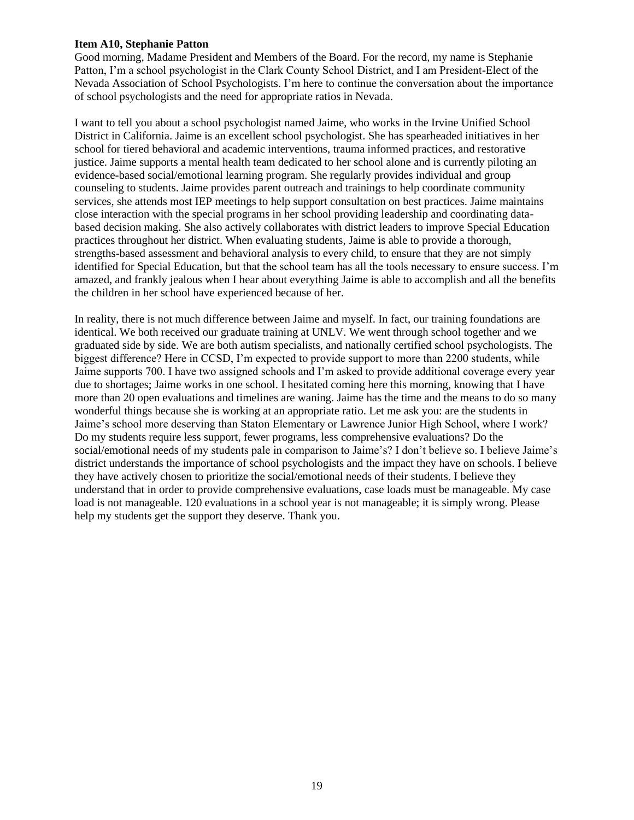### **Item A10, Stephanie Patton**

Good morning, Madame President and Members of the Board. For the record, my name is Stephanie Patton, I'm a school psychologist in the Clark County School District, and I am President-Elect of the Nevada Association of School Psychologists. I'm here to continue the conversation about the importance of school psychologists and the need for appropriate ratios in Nevada.

I want to tell you about a school psychologist named Jaime, who works in the Irvine Unified School District in California. Jaime is an excellent school psychologist. She has spearheaded initiatives in her school for tiered behavioral and academic interventions, trauma informed practices, and restorative justice. Jaime supports a mental health team dedicated to her school alone and is currently piloting an evidence-based social/emotional learning program. She regularly provides individual and group counseling to students. Jaime provides parent outreach and trainings to help coordinate community services, she attends most IEP meetings to help support consultation on best practices. Jaime maintains close interaction with the special programs in her school providing leadership and coordinating databased decision making. She also actively collaborates with district leaders to improve Special Education practices throughout her district. When evaluating students, Jaime is able to provide a thorough, strengths-based assessment and behavioral analysis to every child, to ensure that they are not simply identified for Special Education, but that the school team has all the tools necessary to ensure success. I'm amazed, and frankly jealous when I hear about everything Jaime is able to accomplish and all the benefits the children in her school have experienced because of her.

In reality, there is not much difference between Jaime and myself. In fact, our training foundations are identical. We both received our graduate training at UNLV. We went through school together and we graduated side by side. We are both autism specialists, and nationally certified school psychologists. The biggest difference? Here in CCSD, I'm expected to provide support to more than 2200 students, while Jaime supports 700. I have two assigned schools and I'm asked to provide additional coverage every year due to shortages; Jaime works in one school. I hesitated coming here this morning, knowing that I have more than 20 open evaluations and timelines are waning. Jaime has the time and the means to do so many wonderful things because she is working at an appropriate ratio. Let me ask you: are the students in Jaime's school more deserving than Staton Elementary or Lawrence Junior High School, where I work? Do my students require less support, fewer programs, less comprehensive evaluations? Do the social/emotional needs of my students pale in comparison to Jaime's? I don't believe so. I believe Jaime's district understands the importance of school psychologists and the impact they have on schools. I believe they have actively chosen to prioritize the social/emotional needs of their students. I believe they understand that in order to provide comprehensive evaluations, case loads must be manageable. My case load is not manageable. 120 evaluations in a school year is not manageable; it is simply wrong. Please help my students get the support they deserve. Thank you.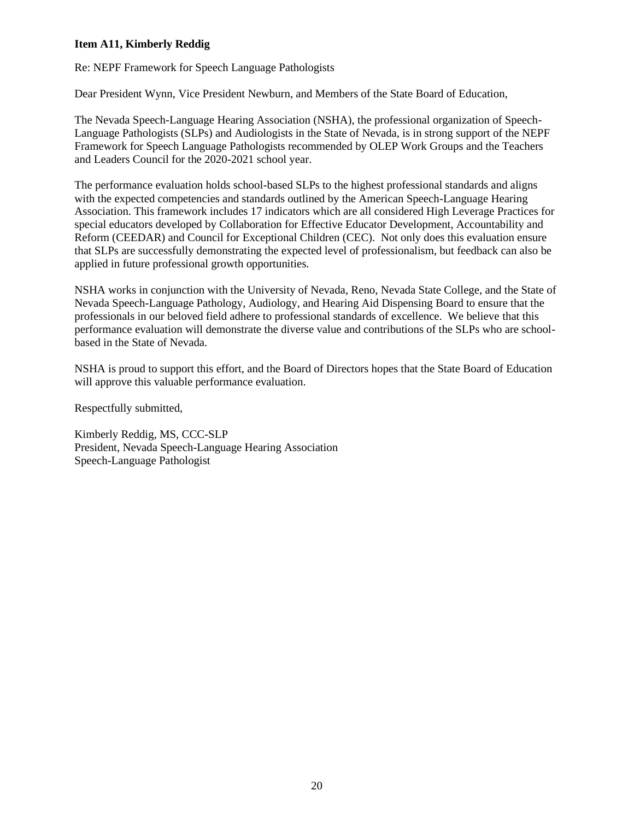# **Item A11, Kimberly Reddig**

Re: NEPF Framework for Speech Language Pathologists

Dear President Wynn, Vice President Newburn, and Members of the State Board of Education,

The Nevada Speech-Language Hearing Association (NSHA), the professional organization of Speech-Language Pathologists (SLPs) and Audiologists in the State of Nevada, is in strong support of the NEPF Framework for Speech Language Pathologists recommended by OLEP Work Groups and the Teachers and Leaders Council for the 2020-2021 school year.

The performance evaluation holds school-based SLPs to the highest professional standards and aligns with the expected competencies and standards outlined by the American Speech-Language Hearing Association. This framework includes 17 indicators which are all considered High Leverage Practices for special educators developed by Collaboration for Effective Educator Development, Accountability and Reform (CEEDAR) and Council for Exceptional Children (CEC). Not only does this evaluation ensure that SLPs are successfully demonstrating the expected level of professionalism, but feedback can also be applied in future professional growth opportunities.

NSHA works in conjunction with the University of Nevada, Reno, Nevada State College, and the State of Nevada Speech-Language Pathology, Audiology, and Hearing Aid Dispensing Board to ensure that the professionals in our beloved field adhere to professional standards of excellence. We believe that this performance evaluation will demonstrate the diverse value and contributions of the SLPs who are schoolbased in the State of Nevada.

NSHA is proud to support this effort, and the Board of Directors hopes that the State Board of Education will approve this valuable performance evaluation.

Respectfully submitted,

Kimberly Reddig, MS, CCC-SLP President, Nevada Speech-Language Hearing Association Speech-Language Pathologist